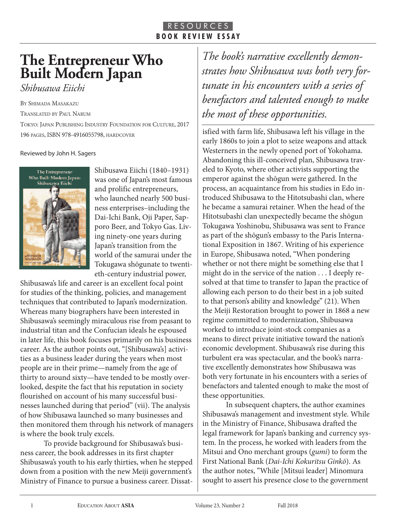## R E S O U R C E S **B O O K R E V I E W E S S A Y**

## **The Entrepreneur Who Built Modern Japan**

*Shibusawa Eiichi*

BY SHIMAdA MASAKAzu

TRANSlATEd BY PAul NARuM

TOKYO: JAPAN PuBlISHINg INduSTRY FOuNdATION FOR CulTuRE, 2017 196 PAgES, ISBN 978-4916055798, HARdCOvER

Reviewed by John H. Sagers



Shibusawa Eiichi (1840–1931) was one of Japan's most famous and prolific entrepreneurs, who launched nearly 500 business enterprises–including the Dai-Ichi Bank, Oji Paper, Sapporo Beer, and Tokyo Gas. Living ninety-one years during Japan's transition from the world of the samurai under the Tokugawa shōgunate to twentieth-century industrial power,

Shibusawa's life and career is an excellent focal point for studies of the thinking, policies, and management techniques that contributed to Japan's modernization. Whereas many biographers have been interested in Shibusawa's seemingly miraculous rise from peasant to industrial titan and the Confucian ideals he espoused in later life, this book focuses primarily on his business career. As the author points out, "[Shibusawa's] activities as a business leader during the years when most people are in their prime—namely from the age of thirty to around sixty—have tended to be mostly overlooked, despite the fact that his reputation in society flourished on account of his many successful businesses launched during that period" (vii). The analysis of how Shibusawa launched so many businesses and then monitored them through his network of managers is where the book truly excels.

To provide background for Shibusawa's business career, the book addresses in its first chapter Shibusawa's youth to his early thirties, when he stepped down from a position with the new Meiji government's Ministry of Finance to pursue a business career. Dissat-

*The book's narrative excellently demonstrates how Shibusawa was both very fortunate in his encounters with a series of benefactors and talented enough to make the most of these opportunities.*

isfied with farm life, Shibusawa left his village in the early 1860s to join a plot to seize weapons and attack Westerners in the newly opened port of Yokohama. Abandoning this ill-conceived plan, Shibusawa traveled to Kyoto, where other activists supporting the emperor against the shōgun were gathered. In the process, an acquaintance from his studies in Edo introduced Shibusawa to the Hitotsubashi clan, where he became a samurai retainer. When the head of the Hitotsubashi clan unexpectedly became the shōgun Tokugawa Yoshinobu, Shibusawa was sent to France as part of the shōgun's embassy to the Paris International Exposition in 1867. Writing of his experience in Europe, Shibusawa noted, "When pondering whether or not there might be something else that I might do in the service of the nation . . . I deeply resolved at that time to transfer to Japan the practice of allowing each person to do their best in a job suited to that person's ability and knowledge" (21). When the Meiji Restoration brought to power in 1868 a new regime committed to modernization, Shibusawa worked to introduce joint-stock companies as a means to direct private initiative toward the nation's economic development. Shibusawa's rise during this turbulent era was spectacular, and the book's narrative excellently demonstrates how Shibusawa was both very fortunate in his encounters with a series of benefactors and talented enough to make the most of these opportunities.

In subsequent chapters, the author examines Shibusawa's management and investment style. While in the Ministry of Finance, Shibusawa drafted the legal framework for Japan's banking and currency system. In the process, he worked with leaders from the Mitsui and Ono merchant groups (gumi) to form the First National Bank (Dai-Ichi Kokuritsu Ginkō). As the author notes, "While [Mitsui leader] Minomura sought to assert his presence close to the government